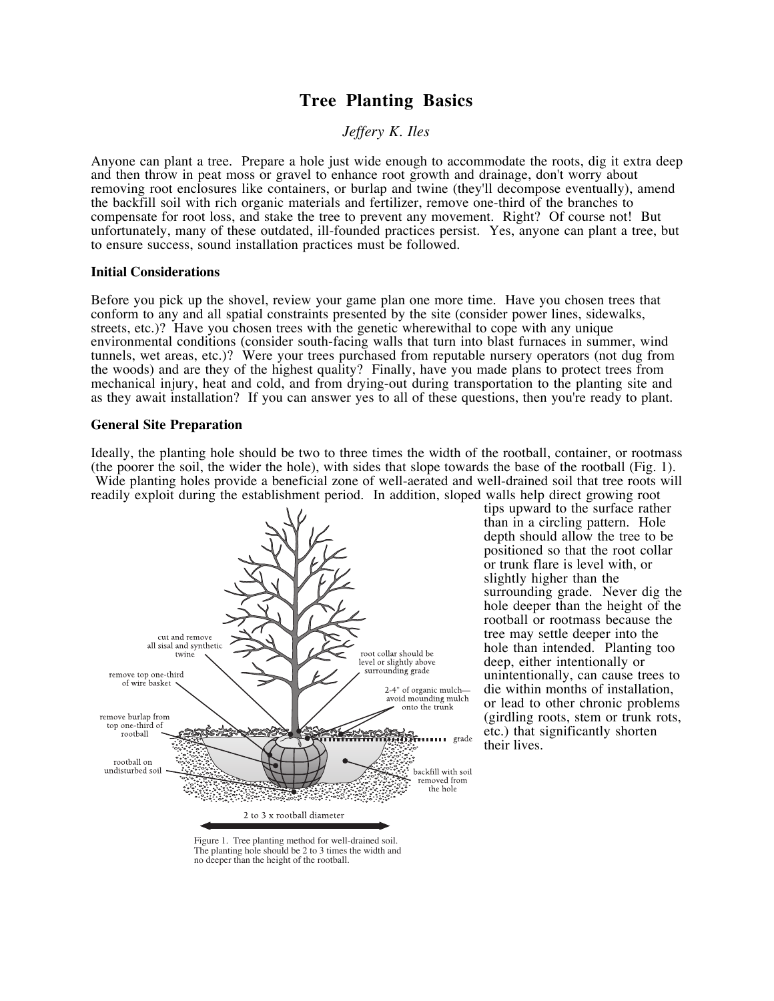# **Tree Planting Basics**

*Jeffery K. Iles*

Anyone can plant a tree. Prepare a hole just wide enough to accommodate the roots, dig it extra deep and then throw in peat moss or gravel to enhance root growth and drainage, don't worry about removing root enclosures like containers, or burlap and twine (they'll decompose eventually), amend the backfill soil with rich organic materials and fertilizer, remove one-third of the branches to compensate for root loss, and stake the tree to prevent any movement. Right? Of course not! But unfortunately, many of these outdated, ill-founded practices persist. Yes, anyone can plant a tree, but to ensure success, sound installation practices must be followed.

## **Initial Considerations**

Before you pick up the shovel, review your game plan one more time. Have you chosen trees that conform to any and all spatial constraints presented by the site (consider power lines, sidewalks, streets, etc.)? Have you chosen trees with the genetic wherewithal to cope with any unique environmental conditions (consider south-facing walls that turn into blast furnaces in summer, wind tunnels, wet areas, etc.)? Were your trees purchased from reputable nursery operators (not dug from the woods) and are they of the highest quality? Finally, have you made plans to protect trees from mechanical injury, heat and cold, and from drying-out during transportation to the planting site and as they await installation? If you can answer yes to all of these questions, then you're ready to plant.

## **General Site Preparation**

Ideally, the planting hole should be two to three times the width of the rootball, container, or rootmass (the poorer the soil, the wider the hole), with sides that slope towards the base of the rootball (Fig. 1). Wide planting holes provide a beneficial zone of well-aerated and well-drained soil that tree roots will readily exploit during the establishment period. In addition, sloped walls help direct growing root



tips upward to the surface rather than in a circling pattern. Hole depth should allow the tree to be positioned so that the root collar or trunk flare is level with, or slightly higher than the surrounding grade. Never dig the hole deeper than the height of the rootball or rootmass because the tree may settle deeper into the hole than intended. Planting too deep, either intentionally or unintentionally, can cause trees to die within months of installation, or lead to other chronic problems (girdling roots, stem or trunk rots, etc.) that significantly shorten their lives.

Figure 1. Tree planting method for well-drained soil. The planting hole should be 2 to 3 times the width and no deeper than the height of the rootball.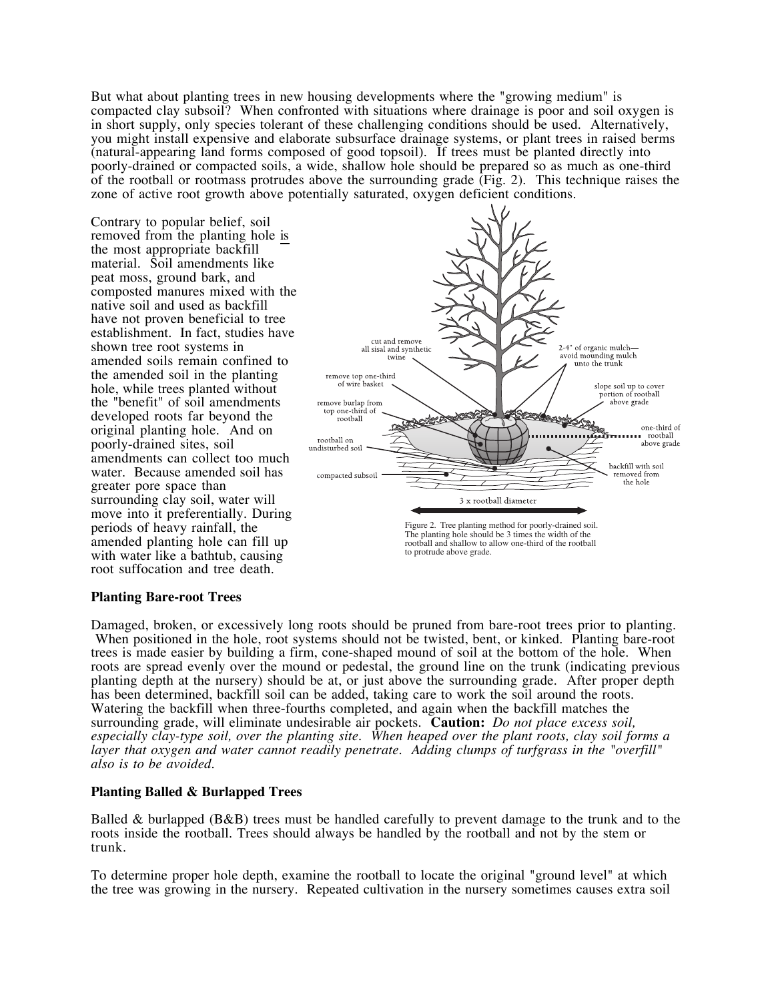But what about planting trees in new housing developments where the "growing medium" is compacted clay subsoil? When confronted with situations where drainage is poor and soil oxygen is in short supply, only species tolerant of these challenging conditions should be used. Alternatively, you might install expensive and elaborate subsurface drainage systems, or plant trees in raised berms (natural-appearing land forms composed of good topsoil). If trees must be planted directly into poorly-drained or compacted soils, a wide, shallow hole should be prepared so as much as one-third of the rootball or rootmass protrudes above the surrounding grade (Fig. 2). This technique raises the zone of active root growth above potentially saturated, oxygen deficient conditions.

Contrary to popular belief, soil removed from the planting hole is the most appropriate backfill material. Soil amendments like peat moss, ground bark, and composted manures mixed with the native soil and used as backfill have not proven beneficial to tree establishment. In fact, studies have shown tree root systems in amended soils remain confined to the amended soil in the planting hole, while trees planted without the "benefit" of soil amendments developed roots far beyond the original planting hole. And on poorly-drained sites, soil amendments can collect too much water. Because amended soil has greater pore space than surrounding clay soil, water will move into it preferentially. During periods of heavy rainfall, the amended planting hole can fill up with water like a bathtub, causing root suffocation and tree death.



### **Planting Bare-root Trees**

Damaged, broken, or excessively long roots should be pruned from bare-root trees prior to planting. When positioned in the hole, root systems should not be twisted, bent, or kinked. Planting bare-root trees is made easier by building a firm, cone-shaped mound of soil at the bottom of the hole. When roots are spread evenly over the mound or pedestal, the ground line on the trunk (indicating previous planting depth at the nursery) should be at, or just above the surrounding grade. After proper depth has been determined, backfill soil can be added, taking care to work the soil around the roots. Watering the backfill when three-fourths completed, and again when the backfill matches the surrounding grade, will eliminate undesirable air pockets. **Caution:** *Do not place excess soil, especially clay-type soil, over the planting site. When heaped over the plant roots, clay soil forms a layer that oxygen and water cannot readily penetrate. Adding clumps of turfgrass in the "overfill" also is to be avoided.*

# **Planting Balled & Burlapped Trees**

Balled & burlapped (B&B) trees must be handled carefully to prevent damage to the trunk and to the roots inside the rootball. Trees should always be handled by the rootball and not by the stem or trunk.

To determine proper hole depth, examine the rootball to locate the original "ground level" at which the tree was growing in the nursery. Repeated cultivation in the nursery sometimes causes extra soil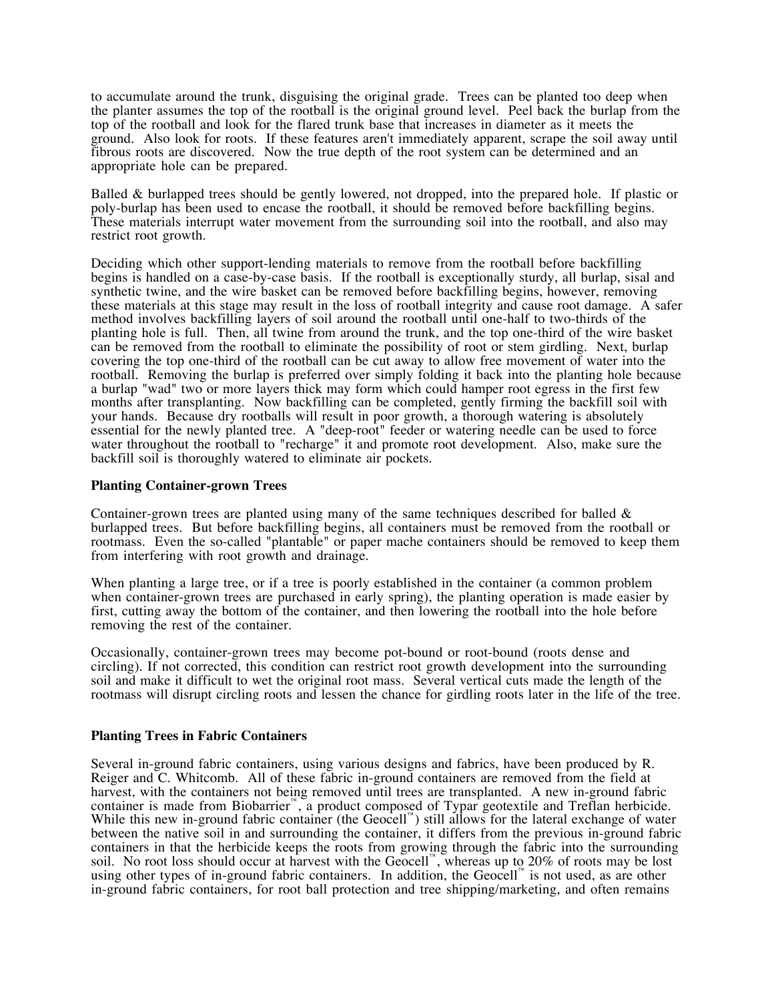to accumulate around the trunk, disguising the original grade. Trees can be planted too deep when the planter assumes the top of the rootball is the original ground level. Peel back the burlap from the top of the rootball and look for the flared trunk base that increases in diameter as it meets the ground. Also look for roots. If these features aren't immediately apparent, scrape the soil away until fibrous roots are discovered. Now the true depth of the root system can be determined and an appropriate hole can be prepared.

Balled & burlapped trees should be gently lowered, not dropped, into the prepared hole. If plastic or poly-burlap has been used to encase the rootball, it should be removed before backfilling begins. These materials interrupt water movement from the surrounding soil into the rootball, and also may restrict root growth.

Deciding which other support-lending materials to remove from the rootball before backfilling begins is handled on a case-by-case basis. If the rootball is exceptionally sturdy, all burlap, sisal and synthetic twine, and the wire basket can be removed before backfilling begins, however, removing these materials at this stage may result in the loss of rootball integrity and cause root damage. A safer method involves backfilling layers of soil around the rootball until one-half to two-thirds of the planting hole is full. Then, all twine from around the trunk, and the top one-third of the wire basket can be removed from the rootball to eliminate the possibility of root or stem girdling. Next, burlap covering the top one-third of the rootball can be cut away to allow free movement of water into the rootball. Removing the burlap is preferred over simply folding it back into the planting hole because a burlap "wad" two or more layers thick may form which could hamper root egress in the first few months after transplanting. Now backfilling can be completed, gently firming the backfill soil with your hands. Because dry rootballs will result in poor growth, a thorough watering is absolutely essential for the newly planted tree. A "deep-root" feeder or watering needle can be used to force water throughout the rootball to "recharge" it and promote root development. Also, make sure the backfill soil is thoroughly watered to eliminate air pockets.

## **Planting Container-grown Trees**

Container-grown trees are planted using many of the same techniques described for balled & burlapped trees. But before backfilling begins, all containers must be removed from the rootball or rootmass. Even the so-called "plantable" or paper mache containers should be removed to keep them from interfering with root growth and drainage.

When planting a large tree, or if a tree is poorly established in the container (a common problem when container-grown trees are purchased in early spring), the planting operation is made easier by first, cutting away the bottom of the container, and then lowering the rootball into the hole before removing the rest of the container.

Occasionally, container-grown trees may become pot-bound or root-bound (roots dense and circling). If not corrected, this condition can restrict root growth development into the surrounding soil and make it difficult to wet the original root mass. Several vertical cuts made the length of the rootmass will disrupt circling roots and lessen the chance for girdling roots later in the life of the tree.

### **Planting Trees in Fabric Containers**

Several in-ground fabric containers, using various designs and fabrics, have been produced by R. Reiger and C. Whitcomb. All of these fabric in-ground containers are removed from the field at harvest, with the containers not being removed until trees are transplanted. A new in-ground fabric container is made from Biobarrier™, a product composed of Typar geotextile and Treflan herbicide. While this new in-ground fabric container (the Geocell™) still allows for the lateral exchange of water between the native soil in and surrounding the container, it differs from the previous in-ground fabric containers in that the herbicide keeps the roots from growing through the fabric into the surrounding soil. No root loss should occur at harvest with the Geocell™, whereas up to 20% of roots may be lost using other types of in-ground fabric containers. In addition, the Geocell™ is not used, as are other in-ground fabric containers, for root ball protection and tree shipping/marketing, and often remains